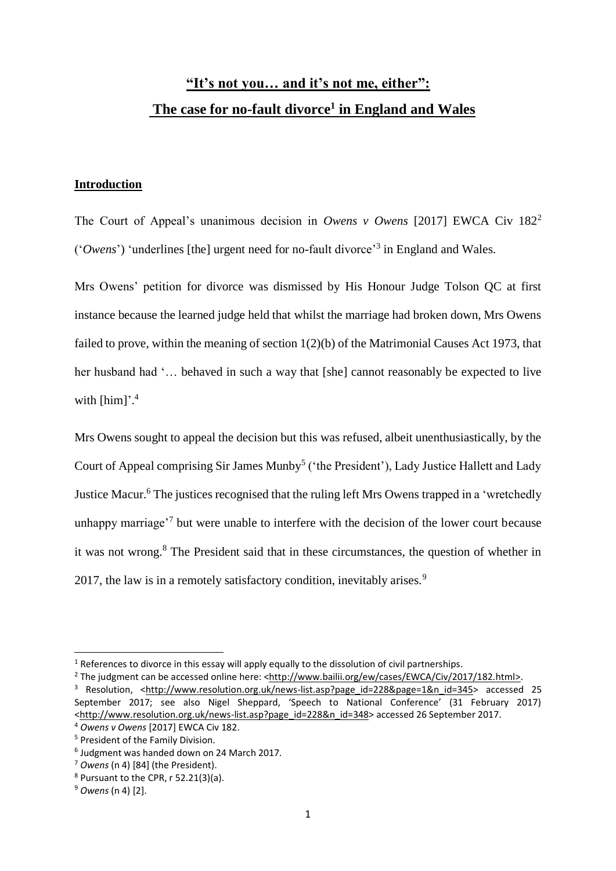# **"It's not you… and it's not me, either": The case for no-fault divorce<sup>1</sup> in England and Wales**

## **Introduction**

The Court of Appeal's unanimous decision in *Owens v Owens* [2017] EWCA Civ 182<sup>2</sup> ('*Owens*') 'underlines [the] urgent need for no-fault divorce'<sup>3</sup> in England and Wales.

Mrs Owens' petition for divorce was dismissed by His Honour Judge Tolson QC at first instance because the learned judge held that whilst the marriage had broken down, Mrs Owens failed to prove, within the meaning of section 1(2)(b) of the Matrimonial Causes Act 1973, that her husband had '… behaved in such a way that [she] cannot reasonably be expected to live with [him]'.<sup>4</sup>

Mrs Owens sought to appeal the decision but this was refused, albeit unenthusiastically, by the Court of Appeal comprising Sir James Munby<sup>5</sup> ('the President'), Lady Justice Hallett and Lady Justice Macur.<sup>6</sup> The justices recognised that the ruling left Mrs Owens trapped in a 'wretchedly unhappy marriage<sup>7</sup> but were unable to interfere with the decision of the lower court because it was not wrong.<sup>8</sup> The President said that in these circumstances, the question of whether in 2017, the law is in a remotely satisfactory condition, inevitably arises.<sup>9</sup>

.

 $1$  References to divorce in this essay will apply equally to the dissolution of civil partnerships.

<sup>&</sup>lt;sup>2</sup> The judgment can be accessed online here: <http://www.bailii.org/ew/cases/EWCA/Civ/2017/182.html>.

<sup>&</sup>lt;sup>3</sup> Resolution, <http://www.resolution.org.uk/news-list.asp?page id=228&page=1&n id=345> accessed 25 September 2017; see also Nigel Sheppard, 'Speech to National Conference' (31 February 2017) <http://www.resolution.org.uk/news-list.asp?page\_id=228&n\_id=348> accessed 26 September 2017. <sup>4</sup> *Owens v Owens* [2017] EWCA Civ 182.

<sup>5</sup> President of the Family Division.

<sup>6</sup> Judgment was handed down on 24 March 2017.

<sup>7</sup> *Owens* (n 4) [84] (the President).

 $8$  Pursuant to the CPR,  $r$  52.21(3)(a).

<sup>9</sup> *Owens* (n 4) [2].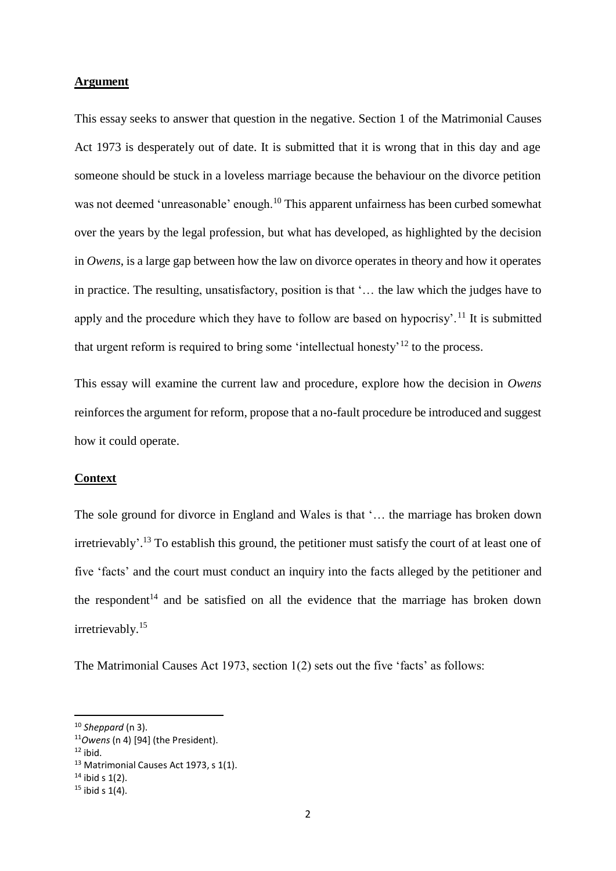### **Argument**

This essay seeks to answer that question in the negative. Section 1 of the Matrimonial Causes Act 1973 is desperately out of date. It is submitted that it is wrong that in this day and age someone should be stuck in a loveless marriage because the behaviour on the divorce petition was not deemed 'unreasonable' enough.<sup>10</sup> This apparent unfairness has been curbed somewhat over the years by the legal profession, but what has developed, as highlighted by the decision in *Owens*, is a large gap between how the law on divorce operates in theory and how it operates in practice. The resulting, unsatisfactory, position is that '… the law which the judges have to apply and the procedure which they have to follow are based on hypocrisy'.<sup>11</sup> It is submitted that urgent reform is required to bring some 'intellectual honesty'<sup>12</sup> to the process.

This essay will examine the current law and procedure, explore how the decision in *Owens* reinforces the argument for reform, propose that a no-fault procedure be introduced and suggest how it could operate.

#### **Context**

The sole ground for divorce in England and Wales is that '… the marriage has broken down irretrievably'.<sup>13</sup> To establish this ground, the petitioner must satisfy the court of at least one of five 'facts' and the court must conduct an inquiry into the facts alleged by the petitioner and the respondent<sup>14</sup> and be satisfied on all the evidence that the marriage has broken down irretrievably. 15

The Matrimonial Causes Act 1973, section 1(2) sets out the five 'facts' as follows:

<sup>10</sup> *Sheppard* (n 3).

<sup>11</sup>*Owens* (n 4) [94] (the President).

 $12$  ibid.

<sup>13</sup> Matrimonial Causes Act 1973, s 1(1).

 $14$  ibid s 1(2).

 $15$  ibid s 1(4).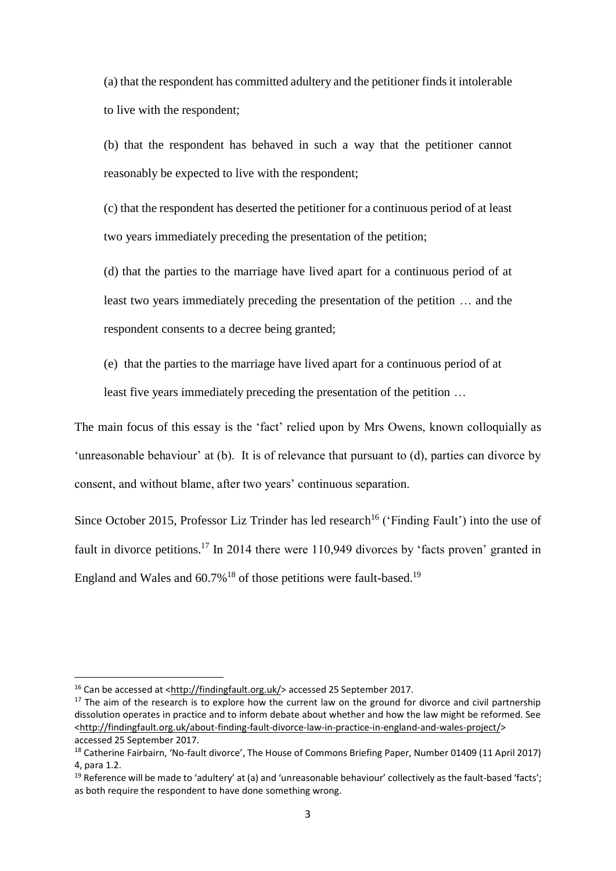(a) that the respondent has committed adultery and the petitioner finds it intolerable to live with the respondent;

(b) that the respondent has behaved in such a way that the petitioner cannot reasonably be expected to live with the respondent;

(c) that the respondent has deserted the petitioner for a continuous period of at least two years immediately preceding the presentation of the petition;

(d) that the parties to the marriage have lived apart for a continuous period of at least two years immediately preceding the presentation of the petition … and the respondent consents to a decree being granted;

(e) that the parties to the marriage have lived apart for a continuous period of at

least five years immediately preceding the presentation of the petition …

The main focus of this essay is the 'fact' relied upon by Mrs Owens, known colloquially as 'unreasonable behaviour' at (b). It is of relevance that pursuant to (d), parties can divorce by consent, and without blame, after two years' continuous separation.

Since October 2015, Professor Liz Trinder has led research<sup>16</sup> ('Finding Fault') into the use of fault in divorce petitions.<sup>17</sup> In 2014 there were 110,949 divorces by 'facts proven' granted in England and Wales and  $60.7\%$ <sup>18</sup> of those petitions were fault-based.<sup>19</sup>

<sup>16</sup> Can be accessed at [<http://findingfault.org.uk/>](http://findingfault.org.uk/) accessed 25 September 2017.

 $17$  The aim of the research is to explore how the current law on the ground for divorce and civil partnership dissolution operates in practice and to inform debate about whether and how the law might be reformed. See [<http://findingfault.org.uk/about-finding-fault-divorce-law-in-practice-in-england-and-wales-project/>](http://findingfault.org.uk/about-finding-fault-divorce-law-in-practice-in-england-and-wales-project/) accessed 25 September 2017.

<sup>&</sup>lt;sup>18</sup> Catherine Fairbairn, 'No-fault divorce', The House of Commons Briefing Paper, Number 01409 (11 April 2017) 4, para 1.2.

<sup>&</sup>lt;sup>19</sup> Reference will be made to 'adultery' at (a) and 'unreasonable behaviour' collectively as the fault-based 'facts'; as both require the respondent to have done something wrong.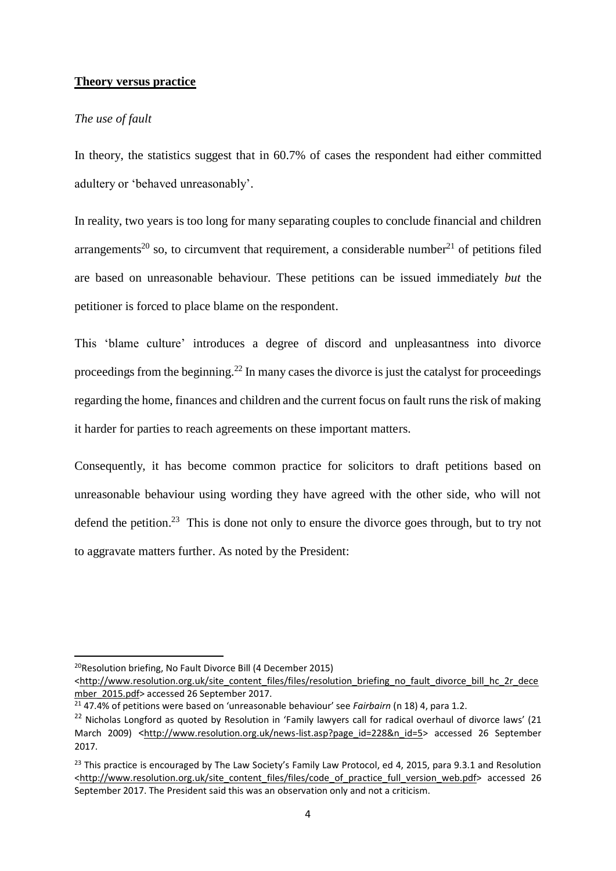### **Theory versus practice**

### *The use of fault*

In theory, the statistics suggest that in 60.7% of cases the respondent had either committed adultery or 'behaved unreasonably'.

In reality, two years is too long for many separating couples to conclude financial and children arrangements<sup>20</sup> so, to circumvent that requirement, a considerable number<sup>21</sup> of petitions filed are based on unreasonable behaviour. These petitions can be issued immediately *but* the petitioner is forced to place blame on the respondent.

This 'blame culture' introduces a degree of discord and unpleasantness into divorce proceedings from the beginning.<sup>22</sup> In many cases the divorce is just the catalyst for proceedings regarding the home, finances and children and the current focus on fault runs the risk of making it harder for parties to reach agreements on these important matters.

Consequently, it has become common practice for solicitors to draft petitions based on unreasonable behaviour using wording they have agreed with the other side, who will not defend the petition.<sup>23</sup> This is done not only to ensure the divorce goes through, but to try not to aggravate matters further. As noted by the President:

<sup>20</sup>Resolution briefing, No Fault Divorce Bill (4 December 2015)

<sup>&</sup>lt;http://www.resolution.org.uk/site\_content\_files/files/resolution\_briefing\_no\_fault\_divorce\_bill\_hc\_2r\_dece mber\_2015.pdf> accessed 26 September 2017.

<sup>21</sup> 47.4% of petitions were based on 'unreasonable behaviour' see *Fairbairn* (n 18) 4, para 1.2.

<sup>&</sup>lt;sup>22</sup> Nicholas Longford as quoted by Resolution in 'Family lawyers call for radical overhaul of divorce laws' (21 March 2009) <[http://www.resolution.org.uk/news-list.asp?page\\_id=228&n\\_id=5>](http://www.resolution.org.uk/news-list.asp?page_id=228&n_id=5) accessed 26 September 2017.

<sup>&</sup>lt;sup>23</sup> This practice is encouraged by The Law Society's Family Law Protocol, ed 4, 2015, para 9.3.1 and Resolution [<http://www.resolution.org.uk/site\\_content\\_files/files/code\\_of\\_practice\\_full\\_version\\_web.pdf>](http://www.resolution.org.uk/site_content_files/files/code_of_practice_full_version_web.pdf) accessed 26 September 2017. The President said this was an observation only and not a criticism.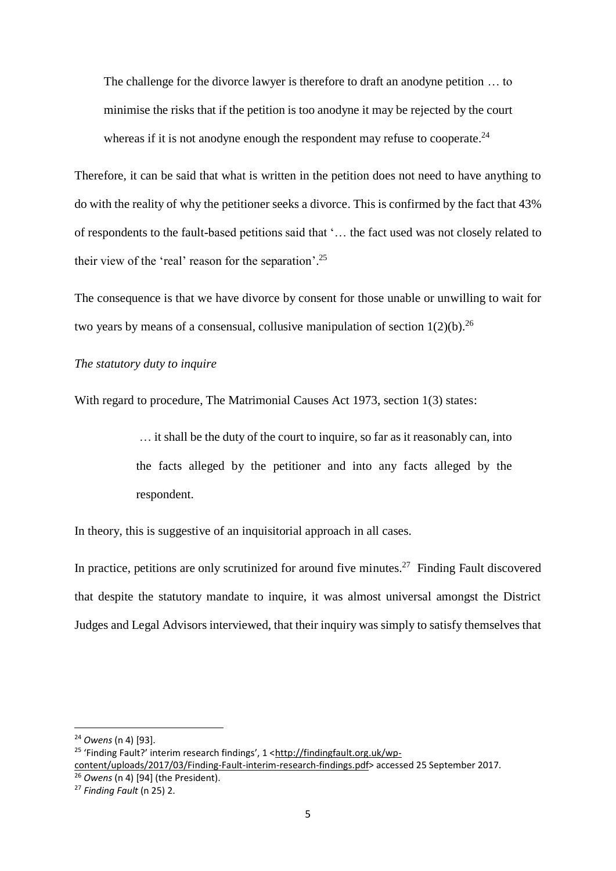The challenge for the divorce lawyer is therefore to draft an anodyne petition … to minimise the risks that if the petition is too anodyne it may be rejected by the court whereas if it is not anodyne enough the respondent may refuse to cooperate. $24$ 

Therefore, it can be said that what is written in the petition does not need to have anything to do with the reality of why the petitioner seeks a divorce. This is confirmed by the fact that 43% of respondents to the fault-based petitions said that '… the fact used was not closely related to their view of the 'real' reason for the separation'.<sup>25</sup>

The consequence is that we have divorce by consent for those unable or unwilling to wait for two years by means of a consensual, collusive manipulation of section  $1(2)(b)$ <sup>26</sup>

*The statutory duty to inquire*

With regard to procedure, The Matrimonial Causes Act 1973, section 1(3) states:

… it shall be the duty of the court to inquire, so far as it reasonably can, into the facts alleged by the petitioner and into any facts alleged by the respondent.

In theory, this is suggestive of an inquisitorial approach in all cases.

In practice, petitions are only scrutinized for around five minutes. $27$  Finding Fault discovered that despite the statutory mandate to inquire, it was almost universal amongst the District Judges and Legal Advisors interviewed, that their inquiry was simply to satisfy themselves that

<sup>24</sup> *Owens* (n 4) [93].

<sup>&</sup>lt;sup>25</sup> 'Finding Fault?' interim research findings', 1 <http://findingfault.org.uk/wp-

content/uploads/2017/03/Finding-Fault-interim-research-findings.pdf> accessed 25 September 2017.

<sup>26</sup> *Owens* (n 4) [94] (the President).

<sup>27</sup> *Finding Fault* (n 25) 2.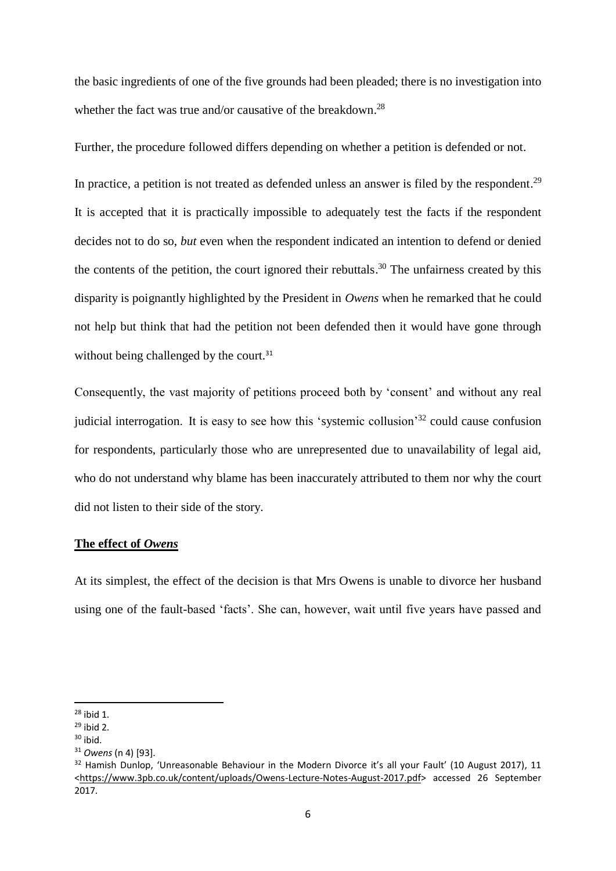the basic ingredients of one of the five grounds had been pleaded; there is no investigation into whether the fact was true and/or causative of the breakdown.<sup>28</sup>

Further, the procedure followed differs depending on whether a petition is defended or not.

In practice, a petition is not treated as defended unless an answer is filed by the respondent.<sup>29</sup> It is accepted that it is practically impossible to adequately test the facts if the respondent decides not to do so, *but* even when the respondent indicated an intention to defend or denied the contents of the petition, the court ignored their rebuttals.<sup>30</sup> The unfairness created by this disparity is poignantly highlighted by the President in *Owens* when he remarked that he could not help but think that had the petition not been defended then it would have gone through without being challenged by the court.<sup>31</sup>

Consequently, the vast majority of petitions proceed both by 'consent' and without any real judicial interrogation. It is easy to see how this 'systemic collusion'<sup>32</sup> could cause confusion for respondents, particularly those who are unrepresented due to unavailability of legal aid, who do not understand why blame has been inaccurately attributed to them nor why the court did not listen to their side of the story.

#### **The effect of** *Owens*

At its simplest, the effect of the decision is that Mrs Owens is unable to divorce her husband using one of the fault-based 'facts'. She can, however, wait until five years have passed and

<sup>28</sup> ibid 1.

 $29$  ibid 2.

 $30$  ibid.

<sup>31</sup> *Owens* (n 4) [93].

<sup>&</sup>lt;sup>32</sup> Hamish Dunlop, 'Unreasonable Behaviour in the Modern Divorce it's all your Fault' (10 August 2017), 11 <https://www.3pb.co.uk/content/uploads/Owens-Lecture-Notes-August-2017.pdf> accessed 26 September 2017.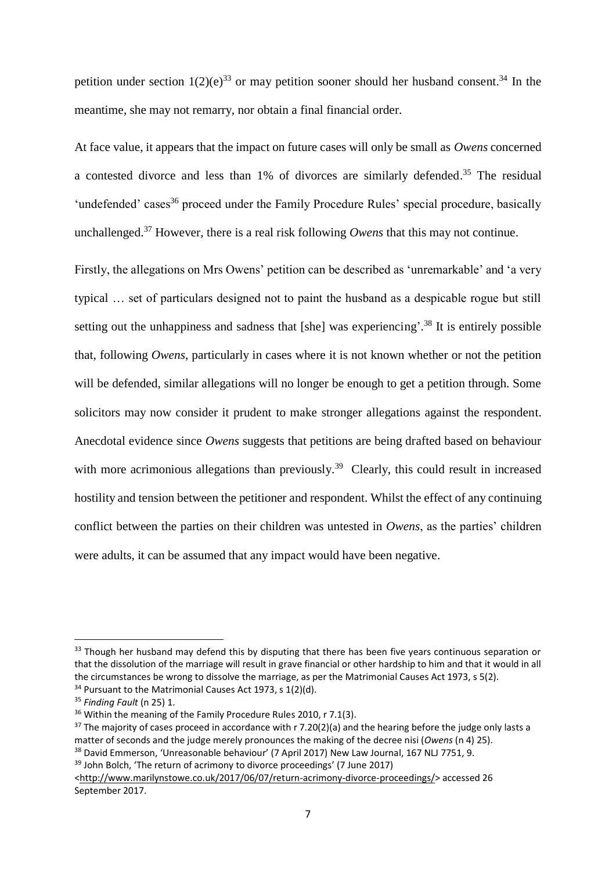petition under section  $1(2)(e)^{33}$  or may petition sooner should her husband consent.<sup>34</sup> In the meantime, she may not remarry, nor obtain a final financial order.

At face value, it appears that the impact on future cases will only be small as *Owens* concerned a contested divorce and less than 1% of divorces are similarly defended. <sup>35</sup> The residual 'undefended' cases<sup>36</sup> proceed under the Family Procedure Rules' special procedure, basically unchallenged. <sup>37</sup> However, there is a real risk following *Owens* that this may not continue.

Firstly, the allegations on Mrs Owens' petition can be described as 'unremarkable' and 'a very typical … set of particulars designed not to paint the husband as a despicable rogue but still setting out the unhappiness and sadness that [she] was experiencing'.<sup>38</sup> It is entirely possible that, following *Owens*, particularly in cases where it is not known whether or not the petition will be defended, similar allegations will no longer be enough to get a petition through. Some solicitors may now consider it prudent to make stronger allegations against the respondent. Anecdotal evidence since *Owens* suggests that petitions are being drafted based on behaviour with more acrimonious allegations than previously.<sup>39</sup> Clearly, this could result in increased hostility and tension between the petitioner and respondent. Whilst the effect of any continuing conflict between the parties on their children was untested in *Owens*, as the parties' children were adults, it can be assumed that any impact would have been negative.

<sup>&</sup>lt;sup>33</sup> Though her husband may defend this by disputing that there has been five years continuous separation or that the dissolution of the marriage will result in grave financial or other hardship to him and that it would in all the circumstances be wrong to dissolve the marriage, as per the Matrimonial Causes Act 1973, s 5(2). <sup>34</sup> Pursuant to the Matrimonial Causes Act 1973, s 1(2)(d).

<sup>35</sup> *Finding Fault* (n 25) 1.

<sup>&</sup>lt;sup>36</sup> Within the meaning of the Family Procedure Rules 2010, r 7.1(3).

 $37$  The majority of cases proceed in accordance with r 7.20(2)(a) and the hearing before the judge only lasts a matter of seconds and the judge merely pronounces the making of the decree nisi (*Owens* (n 4) 25).

<sup>&</sup>lt;sup>38</sup> David Emmerson, 'Unreasonable behaviour' (7 April 2017) New Law Journal, 167 NLJ 7751, 9.

<sup>&</sup>lt;sup>39</sup> John Bolch, 'The return of acrimony to divorce proceedings' (7 June 2017)

[<sup>&</sup>lt;http://www.marilynstowe.co.uk/2017/06/07/return-acrimony-divorce-proceedings/>](http://www.marilynstowe.co.uk/2017/06/07/return-acrimony-divorce-proceedings/) accessed 26 September 2017.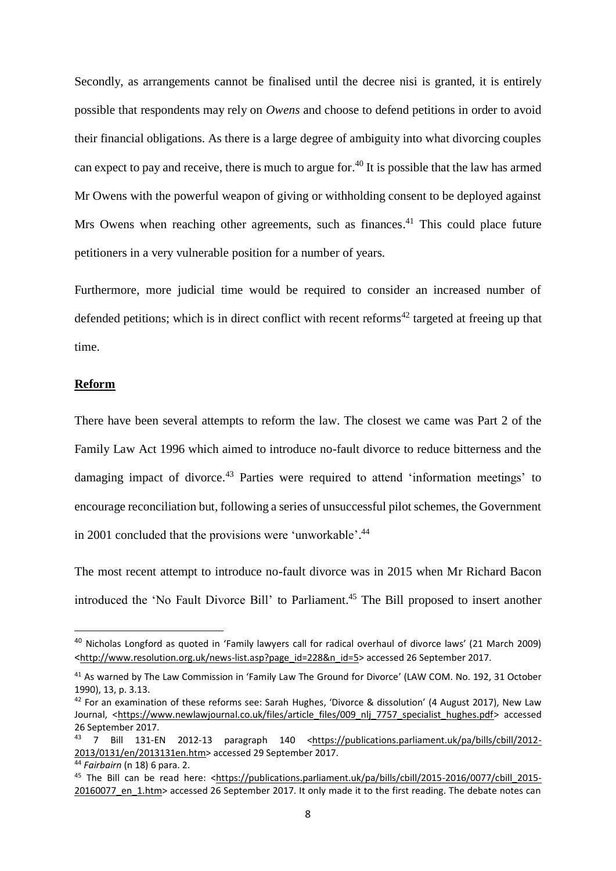Secondly, as arrangements cannot be finalised until the decree nisi is granted, it is entirely possible that respondents may rely on *Owens* and choose to defend petitions in order to avoid their financial obligations. As there is a large degree of ambiguity into what divorcing couples can expect to pay and receive, there is much to argue for.<sup>40</sup> It is possible that the law has armed Mr Owens with the powerful weapon of giving or withholding consent to be deployed against Mrs Owens when reaching other agreements, such as finances.<sup>41</sup> This could place future petitioners in a very vulnerable position for a number of years.

Furthermore, more judicial time would be required to consider an increased number of defended petitions; which is in direct conflict with recent reforms<sup>42</sup> targeted at freeing up that time.

### **Reform**

.

There have been several attempts to reform the law. The closest we came was Part 2 of the Family Law Act 1996 which aimed to introduce no-fault divorce to reduce bitterness and the damaging impact of divorce.<sup>43</sup> Parties were required to attend 'information meetings' to encourage reconciliation but, following a series of unsuccessful pilot schemes, the Government in 2001 concluded that the provisions were 'unworkable'.<sup>44</sup>

The most recent attempt to introduce no-fault divorce was in 2015 when Mr Richard Bacon introduced the 'No Fault Divorce Bill' to Parliament. <sup>45</sup> The Bill proposed to insert another

<sup>40</sup> Nicholas Longford as quoted in 'Family lawyers call for radical overhaul of divorce laws' (21 March 2009) <[http://www.resolution.org.uk/news-list.asp?page\\_id=228&n\\_id=5>](http://www.resolution.org.uk/news-list.asp?page_id=228&n_id=5) accessed 26 September 2017.

<sup>&</sup>lt;sup>41</sup> As warned by The Law Commission in 'Family Law The Ground for Divorce' (LAW COM. No. 192, 31 October 1990), 13, p. 3.13.

 $42$  For an examination of these reforms see: Sarah Hughes, 'Divorce & dissolution' (4 August 2017), New Law Journal, [<https://www.newlawjournal.co.uk/files/article\\_files/009\\_nlj\\_7757\\_specialist\\_hughes.pdf>](https://www.newlawjournal.co.uk/files/article_files/009_nlj_7757_specialist_hughes.pdf) accessed 26 September 2017.

<sup>43 7</sup> Bill 131-EN 2012-13 paragraph 140 [<https://publications.parliament.uk/pa/bills/cbill/2012-](https://publications.parliament.uk/pa/bills/cbill/2012-2013/0131/en/2013131en.htm) [2013/0131/en/2013131en.htm>](https://publications.parliament.uk/pa/bills/cbill/2012-2013/0131/en/2013131en.htm) accessed 29 September 2017.

<sup>44</sup> *Fairbairn* (n 18) 6 para. 2.

<sup>45</sup> The Bill can be read here: [<https://publications.parliament.uk/pa/bills/cbill/2015-2016/0077/cbill\\_2015-](https://publications.parliament.uk/pa/bills/cbill/2015-2016/0077/cbill_2015-20160077_en_1.htm) 20160077 en 1.htm> accessed 26 September 2017. It only made it to the first reading. The debate notes can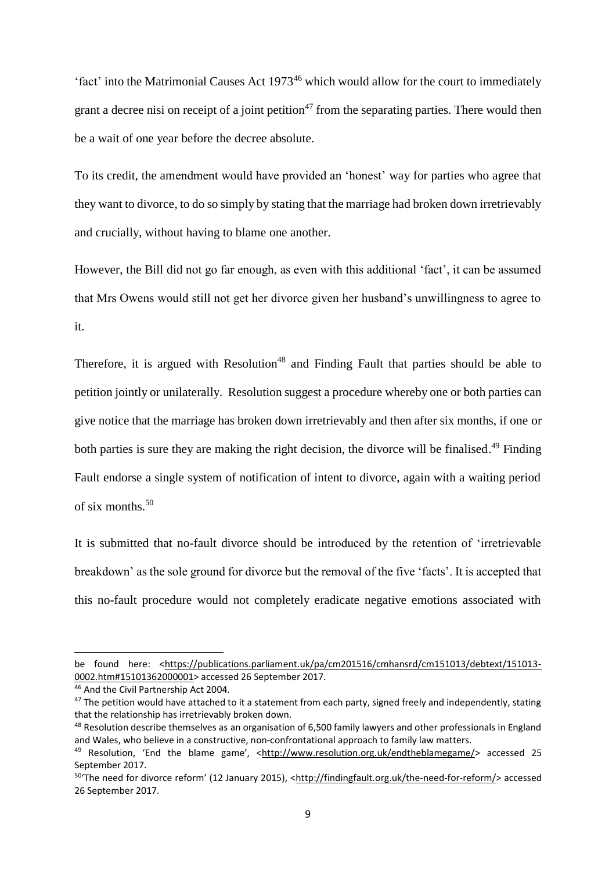'fact' into the Matrimonial Causes Act 1973<sup>46</sup> which would allow for the court to immediately grant a decree nisi on receipt of a joint petition<sup>47</sup> from the separating parties. There would then be a wait of one year before the decree absolute.

To its credit, the amendment would have provided an 'honest' way for parties who agree that they want to divorce, to do so simply by stating that the marriage had broken down irretrievably and crucially, without having to blame one another.

However, the Bill did not go far enough, as even with this additional 'fact', it can be assumed that Mrs Owens would still not get her divorce given her husband's unwillingness to agree to it.

Therefore, it is argued with Resolution<sup>48</sup> and Finding Fault that parties should be able to petition jointly or unilaterally. Resolution suggest a procedure whereby one or both parties can give notice that the marriage has broken down irretrievably and then after six months, if one or both parties is sure they are making the right decision, the divorce will be finalised.<sup>49</sup> Finding Fault endorse a single system of notification of intent to divorce, again with a waiting period of six months.  $50$ 

It is submitted that no-fault divorce should be introduced by the retention of 'irretrievable breakdown' as the sole ground for divorce but the removal of the five 'facts'. It is accepted that this no-fault procedure would not completely eradicate negative emotions associated with

.

be found here: [<https://publications.parliament.uk/pa/cm201516/cmhansrd/cm151013/debtext/151013-](https://publications.parliament.uk/pa/cm201516/cmhansrd/cm151013/debtext/151013-0002.htm#15101362000001) [0002.htm#15101362000001>](https://publications.parliament.uk/pa/cm201516/cmhansrd/cm151013/debtext/151013-0002.htm#15101362000001) accessed 26 September 2017.

<sup>46</sup> And the Civil Partnership Act 2004.

<sup>&</sup>lt;sup>47</sup> The petition would have attached to it a statement from each party, signed freely and independently, stating that the relationship has irretrievably broken down.

<sup>&</sup>lt;sup>48</sup> Resolution describe themselves as an organisation of 6,500 family lawyers and other professionals in England and Wales, who believe in a constructive, non-confrontational approach to family law matters.

<sup>49</sup> Resolution, 'End the blame game', <http://www.resolution.org.uk/endtheblamegame/> accessed 25 September 2017.

<sup>50</sup>'The need for divorce reform' (12 January 2015), <[http://findingfault.org.uk/the-need-for-reform/>](http://findingfault.org.uk/the-need-for-reform/) accessed 26 September 2017.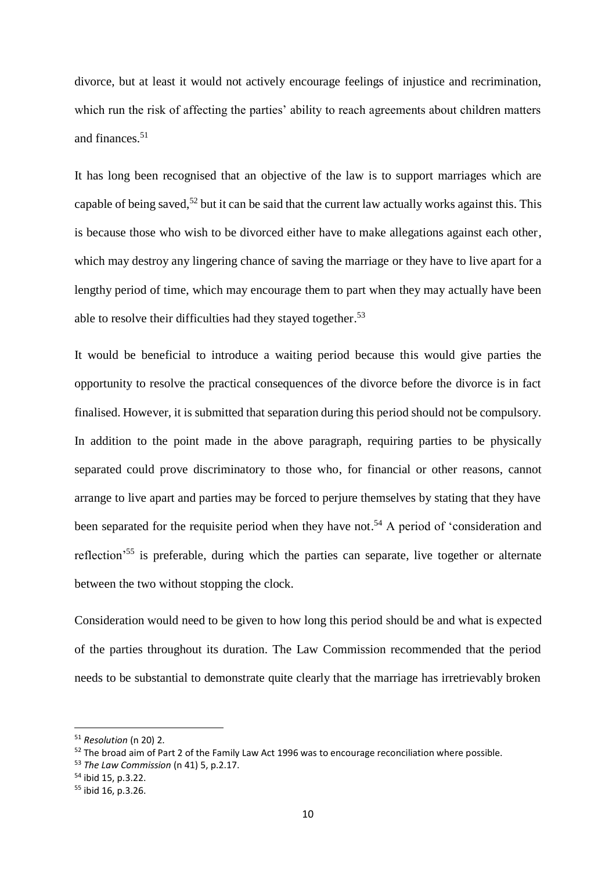divorce, but at least it would not actively encourage feelings of injustice and recrimination, which run the risk of affecting the parties' ability to reach agreements about children matters and finances.<sup>51</sup>

It has long been recognised that an objective of the law is to support marriages which are capable of being saved,<sup>52</sup> but it can be said that the current law actually works against this. This is because those who wish to be divorced either have to make allegations against each other, which may destroy any lingering chance of saving the marriage or they have to live apart for a lengthy period of time, which may encourage them to part when they may actually have been able to resolve their difficulties had they stayed together.<sup>53</sup>

It would be beneficial to introduce a waiting period because this would give parties the opportunity to resolve the practical consequences of the divorce before the divorce is in fact finalised. However, it is submitted that separation during this period should not be compulsory. In addition to the point made in the above paragraph, requiring parties to be physically separated could prove discriminatory to those who, for financial or other reasons, cannot arrange to live apart and parties may be forced to perjure themselves by stating that they have been separated for the requisite period when they have not.<sup>54</sup> A period of 'consideration and reflection'<sup>55</sup> is preferable, during which the parties can separate, live together or alternate between the two without stopping the clock.

Consideration would need to be given to how long this period should be and what is expected of the parties throughout its duration. The Law Commission recommended that the period needs to be substantial to demonstrate quite clearly that the marriage has irretrievably broken

<sup>51</sup> *Resolution* (n 20) 2.

<sup>&</sup>lt;sup>52</sup> The broad aim of Part 2 of the Family Law Act 1996 was to encourage reconciliation where possible.

<sup>53</sup> *The Law Commission* (n 41) 5, p.2.17.

<sup>54</sup> ibid 15, p.3.22.

<sup>55</sup> ibid 16, p.3.26.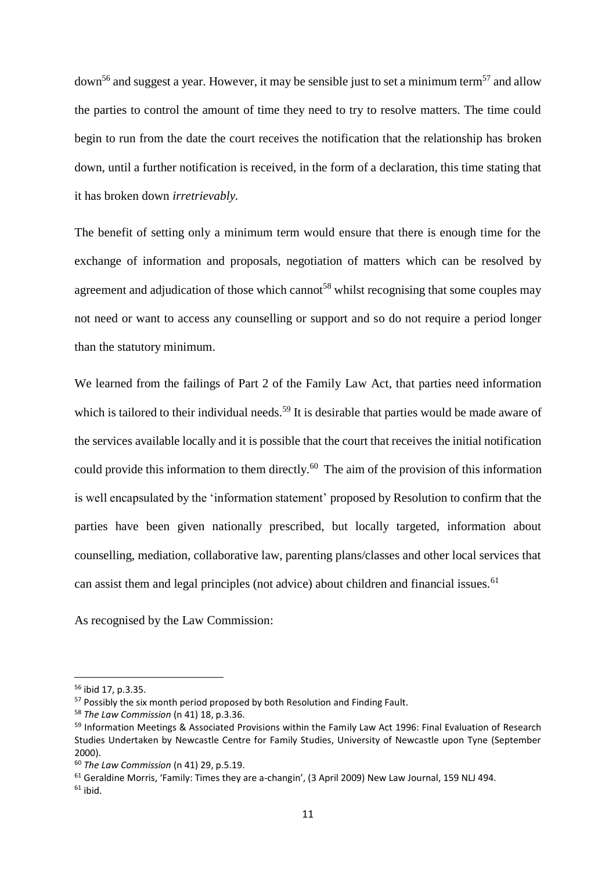$down<sup>56</sup>$  and suggest a year. However, it may be sensible just to set a minimum term<sup>57</sup> and allow the parties to control the amount of time they need to try to resolve matters. The time could begin to run from the date the court receives the notification that the relationship has broken down, until a further notification is received, in the form of a declaration, this time stating that it has broken down *irretrievably.*

The benefit of setting only a minimum term would ensure that there is enough time for the exchange of information and proposals, negotiation of matters which can be resolved by agreement and adjudication of those which cannot<sup>58</sup> whilst recognising that some couples may not need or want to access any counselling or support and so do not require a period longer than the statutory minimum.

We learned from the failings of Part 2 of the Family Law Act, that parties need information which is tailored to their individual needs.<sup>59</sup> It is desirable that parties would be made aware of the services available locally and it is possible that the court that receives the initial notification could provide this information to them directly.<sup>60</sup> The aim of the provision of this information is well encapsulated by the 'information statement' proposed by Resolution to confirm that the parties have been given nationally prescribed, but locally targeted, information about counselling, mediation, collaborative law, parenting plans/classes and other local services that can assist them and legal principles (not advice) about children and financial issues.<sup>61</sup>

As recognised by the Law Commission:

 $61$  Geraldine Morris, 'Family: Times they are a-changin', (3 April 2009) New Law Journal, 159 NLJ 494.

<sup>56</sup> ibid 17, p.3.35.

<sup>&</sup>lt;sup>57</sup> Possibly the six month period proposed by both Resolution and Finding Fault.

<sup>58</sup> *The Law Commission* (n 41) 18, p.3.36.

<sup>&</sup>lt;sup>59</sup> Information Meetings & Associated Provisions within the Family Law Act 1996: Final Evaluation of Research Studies Undertaken by Newcastle Centre for Family Studies, University of Newcastle upon Tyne (September 2000).

<sup>60</sup> *The Law Commission* (n 41) 29, p.5.19.

 $61$  ibid.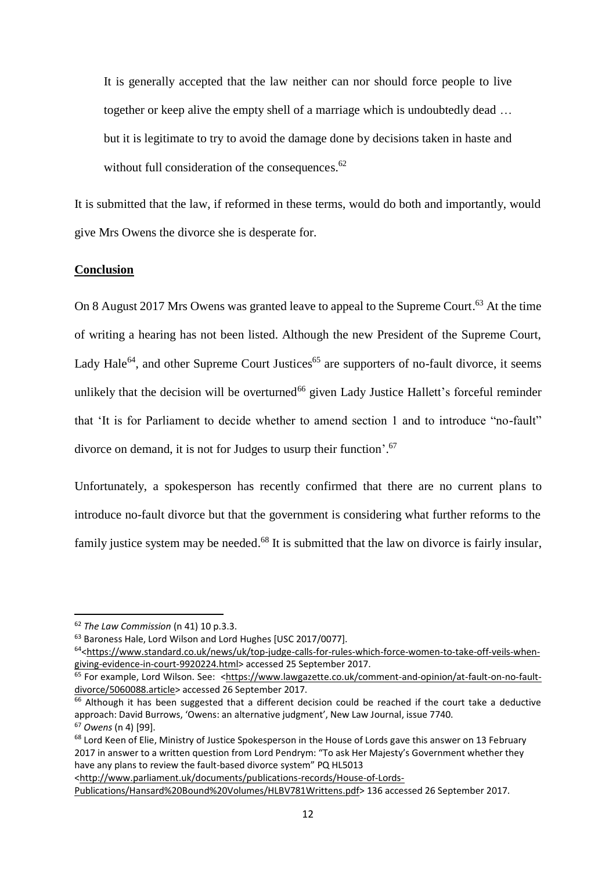It is generally accepted that the law neither can nor should force people to live together or keep alive the empty shell of a marriage which is undoubtedly dead … but it is legitimate to try to avoid the damage done by decisions taken in haste and without full consideration of the consequences.<sup>62</sup>

It is submitted that the law, if reformed in these terms, would do both and importantly, would give Mrs Owens the divorce she is desperate for.

### **Conclusion**

On 8 August 2017 Mrs Owens was granted leave to appeal to the Supreme Court.<sup>63</sup> At the time of writing a hearing has not been listed. Although the new President of the Supreme Court, Lady Hale<sup>64</sup>, and other Supreme Court Justices<sup>65</sup> are supporters of no-fault divorce, it seems unlikely that the decision will be overturned<sup>66</sup> given Lady Justice Hallett's forceful reminder that 'It is for Parliament to decide whether to amend section 1 and to introduce "no-fault" divorce on demand, it is not for Judges to usurp their function'.<sup>67</sup>

Unfortunately, a spokesperson has recently confirmed that there are no current plans to introduce no-fault divorce but that the government is considering what further reforms to the family justice system may be needed.<sup>68</sup> It is submitted that the law on divorce is fairly insular,

1

[<http://www.parliament.uk/documents/publications-records/House-of-Lords-](http://www.parliament.uk/documents/publications-records/House-of-Lords-Publications/Hansard%20Bound%20Volumes/HLBV781Writtens.pdf)

<sup>62</sup> *The Law Commission* (n 41) 10 p.3.3.

<sup>&</sup>lt;sup>63</sup> Baroness Hale, Lord Wilson and Lord Hughes [USC 2017/0077].

<sup>64</sup>[<https://www.standard.co.uk/news/uk/top-judge-calls-for-rules-which-force-women-to-take-off-veils-when](https://www.standard.co.uk/news/uk/top-judge-calls-for-rules-which-force-women-to-take-off-veils-when-giving-evidence-in-court-9920224.html)[giving-evidence-in-court-9920224.html>](https://www.standard.co.uk/news/uk/top-judge-calls-for-rules-which-force-women-to-take-off-veils-when-giving-evidence-in-court-9920224.html) accessed 25 September 2017.

<sup>65</sup> For example, Lord Wilson. See: [<https://www.lawgazette.co.uk/comment-and-opinion/at-fault-on-no-fault](https://www.lawgazette.co.uk/comment-and-opinion/at-fault-on-no-fault-divorce/5060088.article)[divorce/5060088.article>](https://www.lawgazette.co.uk/comment-and-opinion/at-fault-on-no-fault-divorce/5060088.article) accessed 26 September 2017.

<sup>&</sup>lt;sup>66</sup> Although it has been suggested that a different decision could be reached if the court take a deductive approach: David Burrows, 'Owens: an alternative judgment', New Law Journal, issue 7740. <sup>67</sup> *Owens* (n 4) [99].

<sup>&</sup>lt;sup>68</sup> Lord Keen of Elie, Ministry of Justice Spokesperson in the House of Lords gave this answer on 13 February 2017 in answer to a written question from Lord Pendrym: "To ask Her Majesty's Government whether they have any plans to review the fault-based divorce system" PQ HL5013

[Publications/Hansard%20Bound%20Volumes/HLBV781Writtens.pdf>](http://www.parliament.uk/documents/publications-records/House-of-Lords-Publications/Hansard%20Bound%20Volumes/HLBV781Writtens.pdf) 136 accessed 26 September 2017.